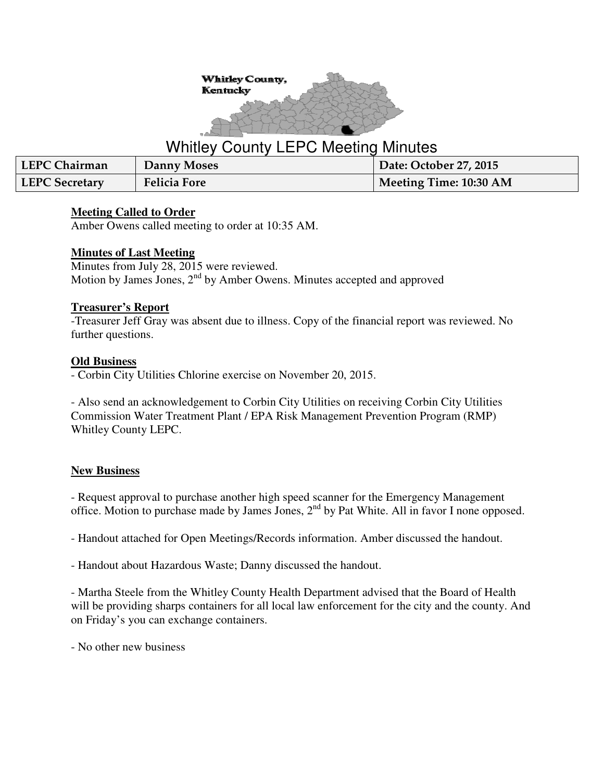

# Whitley County LEPC Meeting Minutes

| LEPC Chairman         | Danny Moses         | Date: October 27, 2015 |
|-----------------------|---------------------|------------------------|
| <b>LEPC Secretary</b> | <b>Felicia Fore</b> | Meeting Time: 10:30 AM |

#### **Meeting Called to Order**

Amber Owens called meeting to order at 10:35 AM.

## **Minutes of Last Meeting**

Minutes from July 28, 2015 were reviewed. Motion by James Jones, 2<sup>nd</sup> by Amber Owens. Minutes accepted and approved

## **Treasurer's Report**

-Treasurer Jeff Gray was absent due to illness. Copy of the financial report was reviewed. No further questions.

## **Old Business**

- Corbin City Utilities Chlorine exercise on November 20, 2015.

- Also send an acknowledgement to Corbin City Utilities on receiving Corbin City Utilities Commission Water Treatment Plant / EPA Risk Management Prevention Program (RMP) Whitley County LEPC.

# **New Business**

- Request approval to purchase another high speed scanner for the Emergency Management office. Motion to purchase made by James Jones, 2nd by Pat White. All in favor I none opposed.

- Handout attached for Open Meetings/Records information. Amber discussed the handout.

- Handout about Hazardous Waste; Danny discussed the handout.

- Martha Steele from the Whitley County Health Department advised that the Board of Health will be providing sharps containers for all local law enforcement for the city and the county. And on Friday's you can exchange containers.

- No other new business